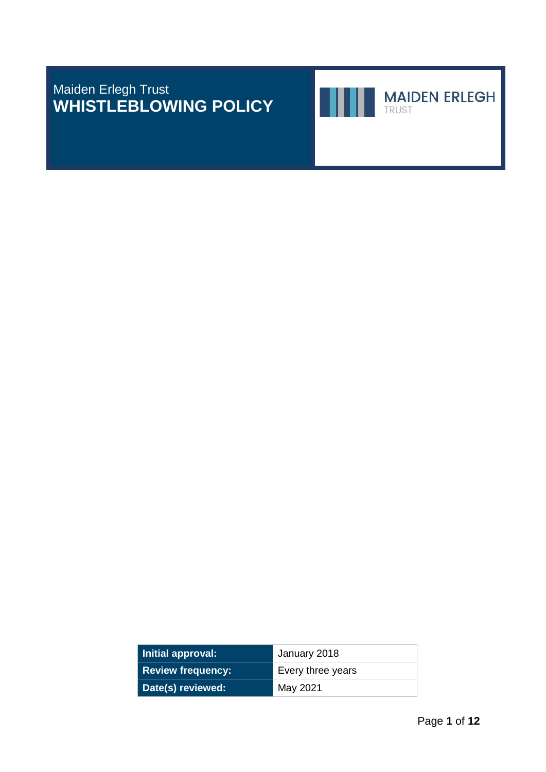Maiden Erlegh Trust **WHISTLEBLOWING POLICY**



**MAIDEN ERLEGH** 

TRUST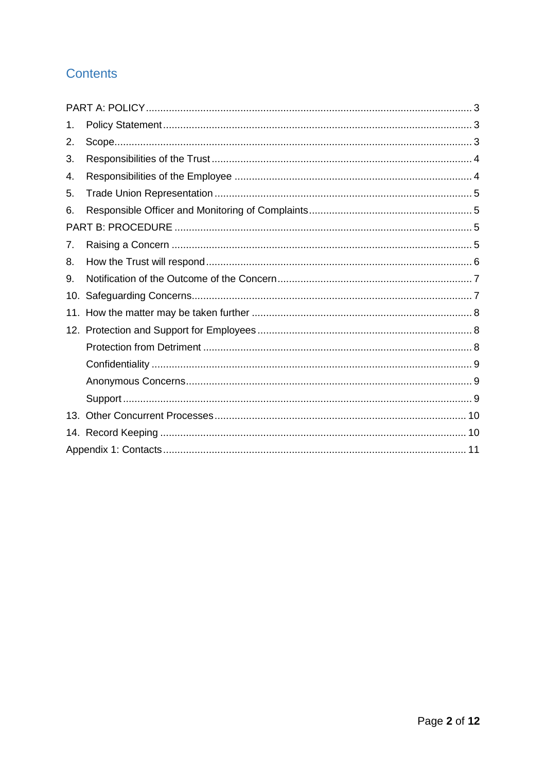# **Contents**

| 1.  |  |  |  |  |
|-----|--|--|--|--|
| 2.  |  |  |  |  |
| 3.  |  |  |  |  |
| 4.  |  |  |  |  |
| 5.  |  |  |  |  |
| 6.  |  |  |  |  |
|     |  |  |  |  |
| 7.  |  |  |  |  |
| 8.  |  |  |  |  |
| 9.  |  |  |  |  |
| 10. |  |  |  |  |
|     |  |  |  |  |
|     |  |  |  |  |
|     |  |  |  |  |
|     |  |  |  |  |
|     |  |  |  |  |
|     |  |  |  |  |
| 13. |  |  |  |  |
|     |  |  |  |  |
|     |  |  |  |  |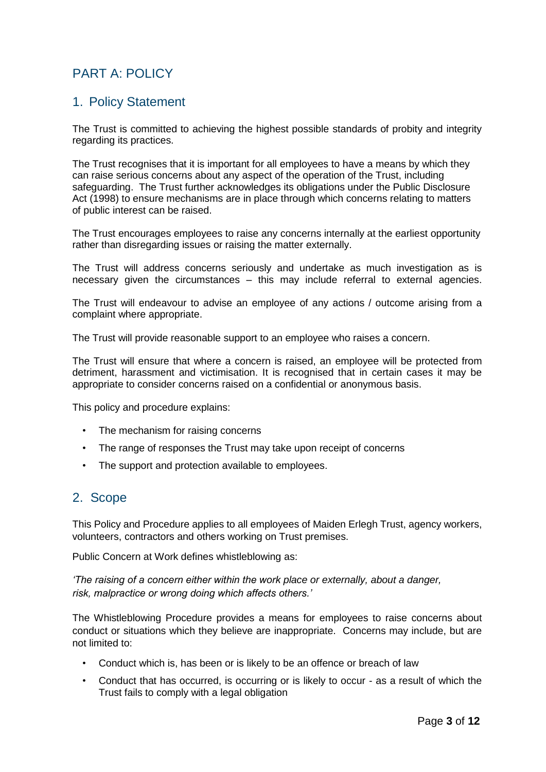# <span id="page-2-0"></span>PART A: POLICY

## <span id="page-2-1"></span>1. Policy Statement

The Trust is committed to achieving the highest possible standards of probity and integrity regarding its practices.

The Trust recognises that it is important for all employees to have a means by which they can raise serious concerns about any aspect of the operation of the Trust, including safeguarding. The Trust further acknowledges its obligations under the Public Disclosure Act (1998) to ensure mechanisms are in place through which concerns relating to matters of public interest can be raised.

The Trust encourages employees to raise any concerns internally at the earliest opportunity rather than disregarding issues or raising the matter externally.

The Trust will address concerns seriously and undertake as much investigation as is necessary given the circumstances – this may include referral to external agencies.

The Trust will endeavour to advise an employee of any actions / outcome arising from a complaint where appropriate.

The Trust will provide reasonable support to an employee who raises a concern.

The Trust will ensure that where a concern is raised, an employee will be protected from detriment, harassment and victimisation. It is recognised that in certain cases it may be appropriate to consider concerns raised on a confidential or anonymous basis.

This policy and procedure explains:

- The mechanism for raising concerns
- The range of responses the Trust may take upon receipt of concerns
- The support and protection available to employees.

#### <span id="page-2-2"></span>2. Scope

This Policy and Procedure applies to all employees of Maiden Erlegh Trust, agency workers, volunteers, contractors and others working on Trust premises.

Public Concern at Work defines whistleblowing as:

*'The raising of a concern either within the work place or externally, about a danger, risk, malpractice or wrong doing which affects others.'* 

The Whistleblowing Procedure provides a means for employees to raise concerns about conduct or situations which they believe are inappropriate. Concerns may include, but are not limited to:

- Conduct which is, has been or is likely to be an offence or breach of law
- Conduct that has occurred, is occurring or is likely to occur as a result of which the Trust fails to comply with a legal obligation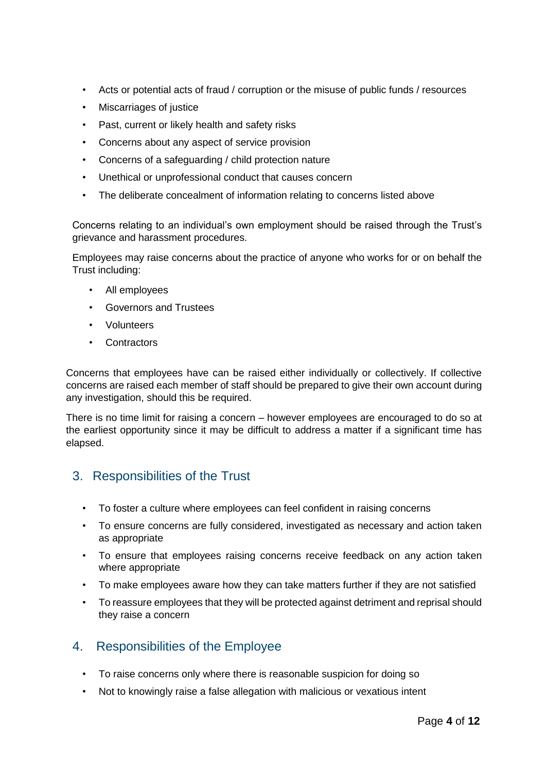- Acts or potential acts of fraud / corruption or the misuse of public funds / resources
- Miscarriages of justice
- Past, current or likely health and safety risks
- Concerns about any aspect of service provision
- Concerns of a safeguarding / child protection nature
- Unethical or unprofessional conduct that causes concern
- The deliberate concealment of information relating to concerns listed above

Concerns relating to an individual's own employment should be raised through the Trust's grievance and harassment procedures.

Employees may raise concerns about the practice of anyone who works for or on behalf the Trust including:

- All employees
- Governors and Trustees
- Volunteers
- Contractors

Concerns that employees have can be raised either individually or collectively. If collective concerns are raised each member of staff should be prepared to give their own account during any investigation, should this be required.

There is no time limit for raising a concern – however employees are encouraged to do so at the earliest opportunity since it may be difficult to address a matter if a significant time has elapsed.

#### <span id="page-3-0"></span>3. Responsibilities of the Trust

- To foster a culture where employees can feel confident in raising concerns
- To ensure concerns are fully considered, investigated as necessary and action taken as appropriate
- To ensure that employees raising concerns receive feedback on any action taken where appropriate
- To make employees aware how they can take matters further if they are not satisfied
- To reassure employees that they will be protected against detriment and reprisal should they raise a concern

#### <span id="page-3-1"></span>4. Responsibilities of the Employee

- To raise concerns only where there is reasonable suspicion for doing so
- Not to knowingly raise a false allegation with malicious or vexatious intent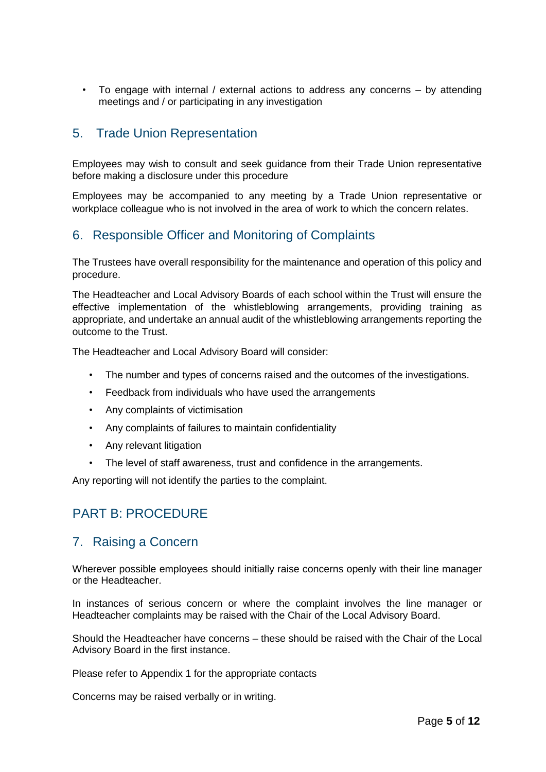• To engage with internal / external actions to address any concerns – by attending meetings and / or participating in any investigation

## <span id="page-4-0"></span>5. Trade Union Representation

Employees may wish to consult and seek guidance from their Trade Union representative before making a disclosure under this procedure

Employees may be accompanied to any meeting by a Trade Union representative or workplace colleague who is not involved in the area of work to which the concern relates.

## <span id="page-4-1"></span>6. Responsible Officer and Monitoring of Complaints

The Trustees have overall responsibility for the maintenance and operation of this policy and procedure.

The Headteacher and Local Advisory Boards of each school within the Trust will ensure the effective implementation of the whistleblowing arrangements, providing training as appropriate, and undertake an annual audit of the whistleblowing arrangements reporting the outcome to the Trust.

The Headteacher and Local Advisory Board will consider:

- The number and types of concerns raised and the outcomes of the investigations.
- Feedback from individuals who have used the arrangements
- Any complaints of victimisation
- Any complaints of failures to maintain confidentiality
- Any relevant litigation
- The level of staff awareness, trust and confidence in the arrangements.

Any reporting will not identify the parties to the complaint.

## <span id="page-4-2"></span>PART B: PROCEDURE

#### <span id="page-4-3"></span>7. Raising a Concern

Wherever possible employees should initially raise concerns openly with their line manager or the Headteacher.

In instances of serious concern or where the complaint involves the line manager or Headteacher complaints may be raised with the Chair of the Local Advisory Board.

Should the Headteacher have concerns – these should be raised with the Chair of the Local Advisory Board in the first instance.

Please refer to Appendix 1 for the appropriate contacts

Concerns may be raised verbally or in writing.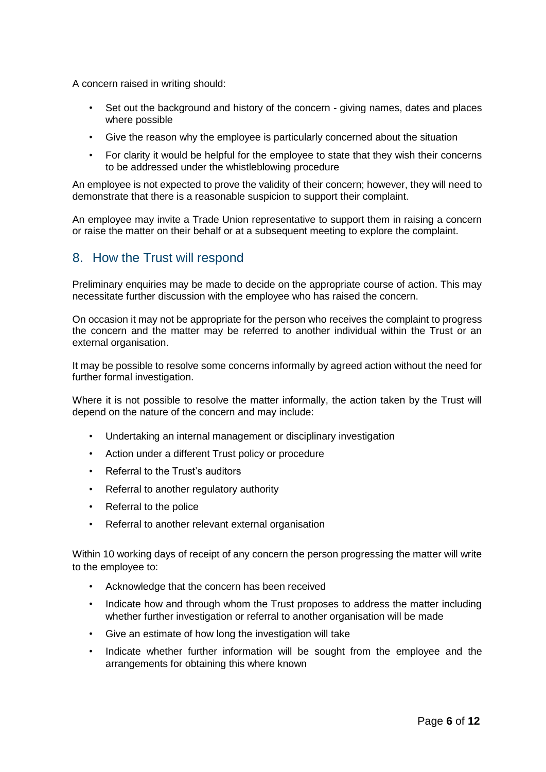A concern raised in writing should:

- Set out the background and history of the concern giving names, dates and places where possible
- Give the reason why the employee is particularly concerned about the situation
- For clarity it would be helpful for the employee to state that they wish their concerns to be addressed under the whistleblowing procedure

An employee is not expected to prove the validity of their concern; however, they will need to demonstrate that there is a reasonable suspicion to support their complaint.

An employee may invite a Trade Union representative to support them in raising a concern or raise the matter on their behalf or at a subsequent meeting to explore the complaint.

#### <span id="page-5-0"></span>8. How the Trust will respond

Preliminary enquiries may be made to decide on the appropriate course of action. This may necessitate further discussion with the employee who has raised the concern.

On occasion it may not be appropriate for the person who receives the complaint to progress the concern and the matter may be referred to another individual within the Trust or an external organisation.

It may be possible to resolve some concerns informally by agreed action without the need for further formal investigation.

Where it is not possible to resolve the matter informally, the action taken by the Trust will depend on the nature of the concern and may include:

- Undertaking an internal management or disciplinary investigation
- Action under a different Trust policy or procedure
- Referral to the Trust's auditors
- Referral to another regulatory authority
- Referral to the police
- Referral to another relevant external organisation

Within 10 working days of receipt of any concern the person progressing the matter will write to the employee to:

- Acknowledge that the concern has been received
- Indicate how and through whom the Trust proposes to address the matter including whether further investigation or referral to another organisation will be made
- Give an estimate of how long the investigation will take
- Indicate whether further information will be sought from the employee and the arrangements for obtaining this where known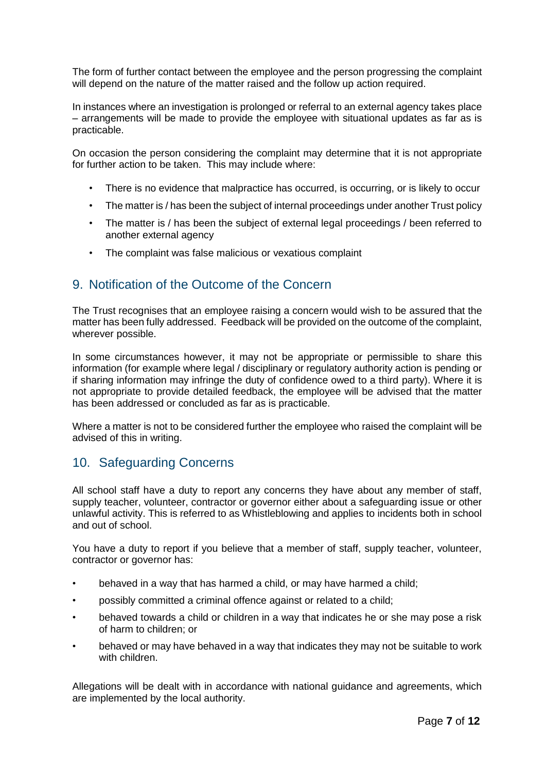The form of further contact between the employee and the person progressing the complaint will depend on the nature of the matter raised and the follow up action required.

In instances where an investigation is prolonged or referral to an external agency takes place – arrangements will be made to provide the employee with situational updates as far as is practicable.

On occasion the person considering the complaint may determine that it is not appropriate for further action to be taken. This may include where:

- There is no evidence that malpractice has occurred, is occurring, or is likely to occur
- The matter is / has been the subject of internal proceedings under another Trust policy
- The matter is / has been the subject of external legal proceedings / been referred to another external agency
- The complaint was false malicious or vexatious complaint

#### <span id="page-6-0"></span>9. Notification of the Outcome of the Concern

The Trust recognises that an employee raising a concern would wish to be assured that the matter has been fully addressed. Feedback will be provided on the outcome of the complaint, wherever possible.

In some circumstances however, it may not be appropriate or permissible to share this information (for example where legal / disciplinary or regulatory authority action is pending or if sharing information may infringe the duty of confidence owed to a third party). Where it is not appropriate to provide detailed feedback, the employee will be advised that the matter has been addressed or concluded as far as is practicable.

Where a matter is not to be considered further the employee who raised the complaint will be advised of this in writing.

#### <span id="page-6-1"></span>10. Safeguarding Concerns

All school staff have a duty to report any concerns they have about any member of staff, supply teacher, volunteer, contractor or governor either about a safeguarding issue or other unlawful activity. This is referred to as Whistleblowing and applies to incidents both in school and out of school.

You have a duty to report if you believe that a member of staff, supply teacher, volunteer, contractor or governor has:

- behaved in a way that has harmed a child, or may have harmed a child;
- possibly committed a criminal offence against or related to a child;
- behaved towards a child or children in a way that indicates he or she may pose a risk of harm to children; or
- behaved or may have behaved in a way that indicates they may not be suitable to work with children.

Allegations will be dealt with in accordance with national guidance and agreements, which are implemented by the local authority.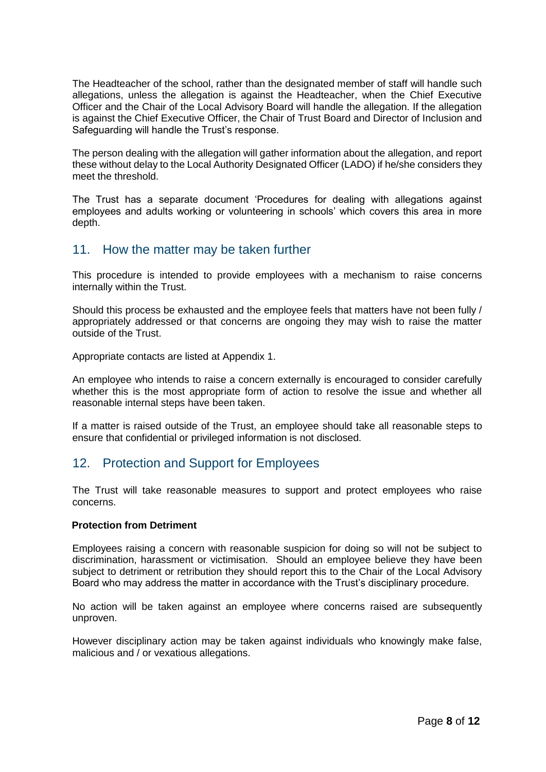The Headteacher of the school, rather than the designated member of staff will handle such allegations, unless the allegation is against the Headteacher, when the Chief Executive Officer and the Chair of the Local Advisory Board will handle the allegation. If the allegation is against the Chief Executive Officer, the Chair of Trust Board and Director of Inclusion and Safeguarding will handle the Trust's response.

The person dealing with the allegation will gather information about the allegation, and report these without delay to the Local Authority Designated Officer (LADO) if he/she considers they meet the threshold.

The Trust has a separate document 'Procedures for dealing with allegations against employees and adults working or volunteering in schools' which covers this area in more depth.

#### <span id="page-7-0"></span>11. How the matter may be taken further

This procedure is intended to provide employees with a mechanism to raise concerns internally within the Trust.

Should this process be exhausted and the employee feels that matters have not been fully / appropriately addressed or that concerns are ongoing they may wish to raise the matter outside of the Trust.

Appropriate contacts are listed at Appendix 1.

An employee who intends to raise a concern externally is encouraged to consider carefully whether this is the most appropriate form of action to resolve the issue and whether all reasonable internal steps have been taken.

If a matter is raised outside of the Trust, an employee should take all reasonable steps to ensure that confidential or privileged information is not disclosed.

#### <span id="page-7-1"></span>12. Protection and Support for Employees

The Trust will take reasonable measures to support and protect employees who raise concerns.

#### <span id="page-7-2"></span>**Protection from Detriment**

Employees raising a concern with reasonable suspicion for doing so will not be subject to discrimination, harassment or victimisation. Should an employee believe they have been subject to detriment or retribution they should report this to the Chair of the Local Advisory Board who may address the matter in accordance with the Trust's disciplinary procedure.

No action will be taken against an employee where concerns raised are subsequently unproven.

However disciplinary action may be taken against individuals who knowingly make false, malicious and / or vexatious allegations.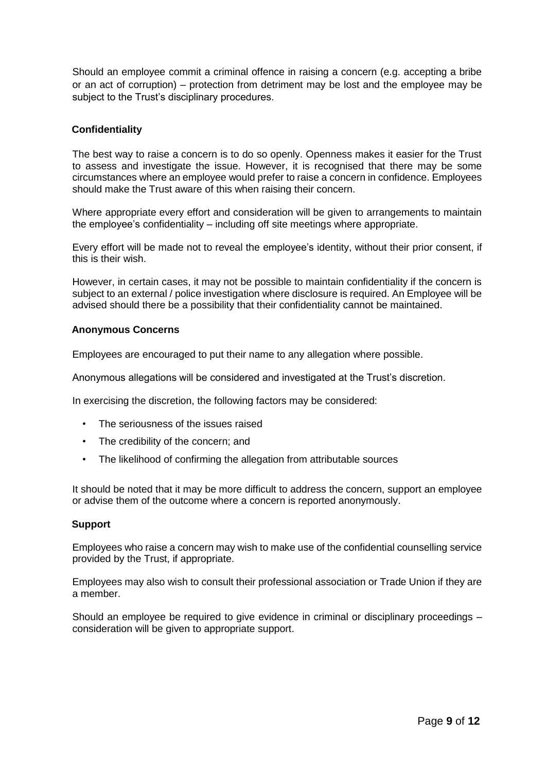Should an employee commit a criminal offence in raising a concern (e.g. accepting a bribe or an act of corruption) – protection from detriment may be lost and the employee may be subject to the Trust's disciplinary procedures.

#### <span id="page-8-0"></span>**Confidentiality**

The best way to raise a concern is to do so openly. Openness makes it easier for the Trust to assess and investigate the issue. However, it is recognised that there may be some circumstances where an employee would prefer to raise a concern in confidence. Employees should make the Trust aware of this when raising their concern.

Where appropriate every effort and consideration will be given to arrangements to maintain the employee's confidentiality – including off site meetings where appropriate.

Every effort will be made not to reveal the employee's identity, without their prior consent, if this is their wish.

However, in certain cases, it may not be possible to maintain confidentiality if the concern is subject to an external / police investigation where disclosure is required. An Employee will be advised should there be a possibility that their confidentiality cannot be maintained.

#### <span id="page-8-1"></span>**Anonymous Concerns**

Employees are encouraged to put their name to any allegation where possible.

Anonymous allegations will be considered and investigated at the Trust's discretion.

In exercising the discretion, the following factors may be considered:

- The seriousness of the issues raised
- The credibility of the concern; and
- The likelihood of confirming the allegation from attributable sources

It should be noted that it may be more difficult to address the concern, support an employee or advise them of the outcome where a concern is reported anonymously.

#### <span id="page-8-2"></span>**Support**

Employees who raise a concern may wish to make use of the confidential counselling service provided by the Trust, if appropriate.

Employees may also wish to consult their professional association or Trade Union if they are a member.

Should an employee be required to give evidence in criminal or disciplinary proceedings – consideration will be given to appropriate support.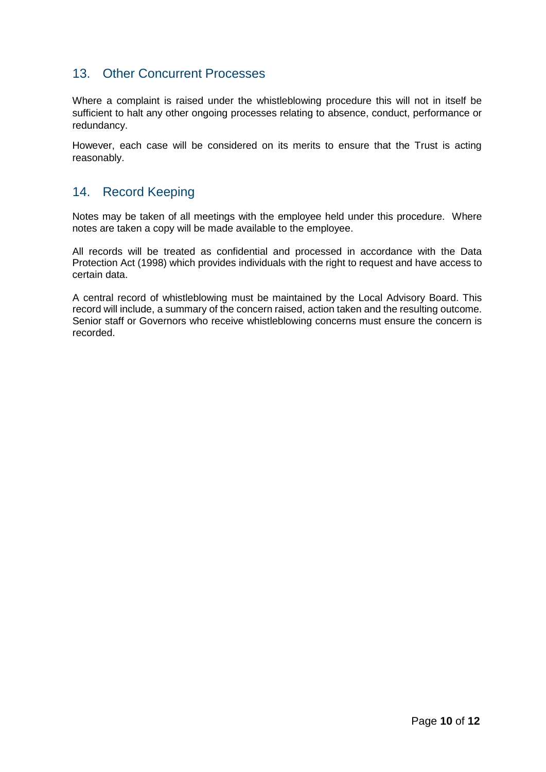## <span id="page-9-0"></span>13. Other Concurrent Processes

Where a complaint is raised under the whistleblowing procedure this will not in itself be sufficient to halt any other ongoing processes relating to absence, conduct, performance or redundancy.

However, each case will be considered on its merits to ensure that the Trust is acting reasonably.

#### <span id="page-9-1"></span>14. Record Keeping

Notes may be taken of all meetings with the employee held under this procedure. Where notes are taken a copy will be made available to the employee.

All records will be treated as confidential and processed in accordance with the Data Protection Act (1998) which provides individuals with the right to request and have access to certain data.

A central record of whistleblowing must be maintained by the Local Advisory Board. This record will include, a summary of the concern raised, action taken and the resulting outcome. Senior staff or Governors who receive whistleblowing concerns must ensure the concern is recorded.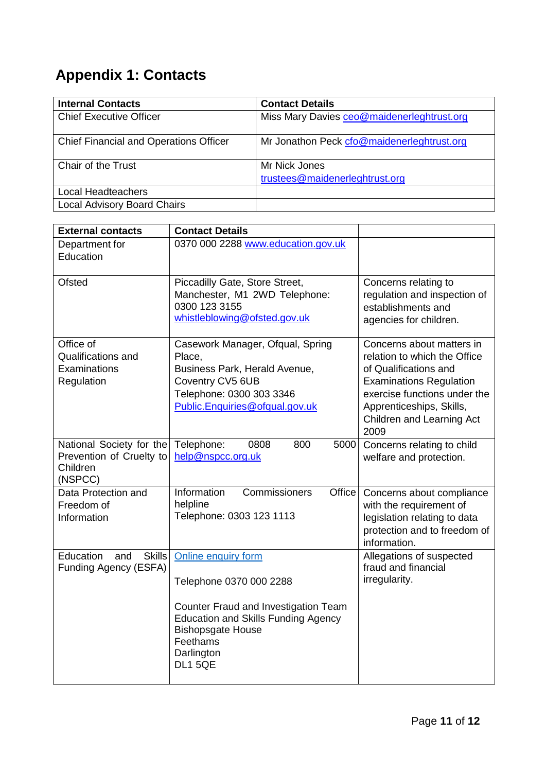# <span id="page-10-0"></span>**Appendix 1: Contacts**

| <b>Internal Contacts</b>                      | <b>Contact Details</b>                     |
|-----------------------------------------------|--------------------------------------------|
| <b>Chief Executive Officer</b>                | Miss Mary Davies ceo@maidenerleghtrust.org |
| <b>Chief Financial and Operations Officer</b> | Mr Jonathon Peck cfo@maidenerleghtrust.org |
| Chair of the Trust                            | Mr Nick Jones                              |
|                                               | trustees@maidenerleghtrust.org             |
| Local Headteachers                            |                                            |
| <b>Local Advisory Board Chairs</b>            |                                            |

| <b>External contacts</b>                                                    | <b>Contact Details</b>                                                                                                                                                                                       |                                                                                                                                                                                                                       |
|-----------------------------------------------------------------------------|--------------------------------------------------------------------------------------------------------------------------------------------------------------------------------------------------------------|-----------------------------------------------------------------------------------------------------------------------------------------------------------------------------------------------------------------------|
| Department for<br>Education                                                 | 0370 000 2288 www.education.gov.uk                                                                                                                                                                           |                                                                                                                                                                                                                       |
| <b>Ofsted</b>                                                               | Piccadilly Gate, Store Street,<br>Manchester, M1 2WD Telephone:<br>0300 123 3155<br>whistleblowing@ofsted.gov.uk                                                                                             | Concerns relating to<br>regulation and inspection of<br>establishments and<br>agencies for children.                                                                                                                  |
| Office of<br>Qualifications and<br>Examinations<br>Regulation               | Casework Manager, Ofqual, Spring<br>Place,<br>Business Park, Herald Avenue,<br>Coventry CV5 6UB<br>Telephone: 0300 303 3346<br>Public.Enquiries@ofqual.gov.uk                                                | Concerns about matters in<br>relation to which the Office<br>of Qualifications and<br><b>Examinations Regulation</b><br>exercise functions under the<br>Apprenticeships, Skills,<br>Children and Learning Act<br>2009 |
| National Society for the<br>Prevention of Cruelty to<br>Children<br>(NSPCC) | Telephone:<br>0808<br>800<br>5000<br>help@nspcc.org.uk                                                                                                                                                       | Concerns relating to child<br>welfare and protection.                                                                                                                                                                 |
| Data Protection and<br>Freedom of<br>Information                            | Information<br>Office <sup>1</sup><br>Commissioners<br>helpline<br>Telephone: 0303 123 1113                                                                                                                  | Concerns about compliance<br>with the requirement of<br>legislation relating to data<br>protection and to freedom of<br>information.                                                                                  |
| Education<br><b>Skills</b><br>and<br>Funding Agency (ESFA)                  | Online enquiry form<br>Telephone 0370 000 2288<br>Counter Fraud and Investigation Team<br><b>Education and Skills Funding Agency</b><br><b>Bishopsgate House</b><br>Feethams<br>Darlington<br><b>DL1 5QE</b> | Allegations of suspected<br>fraud and financial<br>irregularity.                                                                                                                                                      |